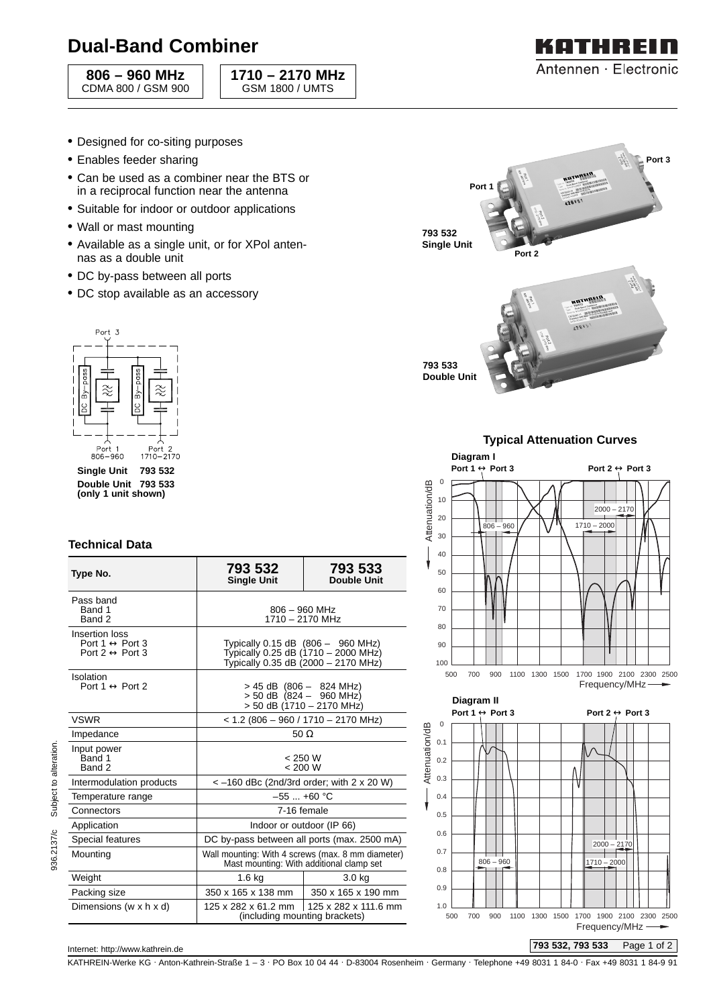# **Dual-Band Combiner**

**806 – 960 MHz** CDMA 800 / GSM 900 **1710 – 2170 MHz** GSM 1800 / UMTS



- Designed for co-siting purposes
- Enables feeder sharing
- Can be used as a combiner near the BTS or in a reciprocal function near the antenna
- Suitable for indoor or outdoor applications
- Wall or mast mounting
- Available as a single unit, or for XPol antennas as a double unit
- DC by-pass between all ports
- DC stop available as an accessory



### **Technical Data**

| Type No.                                                                             | 793 532<br><b>Single Unit</b>                                                                                   | 793 533<br><b>Double Unit</b> |
|--------------------------------------------------------------------------------------|-----------------------------------------------------------------------------------------------------------------|-------------------------------|
| Pass band<br>Band 1<br>Band 2                                                        | $806 - 960$ MHz<br>1710 - 2170 MHz                                                                              |                               |
| Insertion loss<br>Port 1 $\leftrightarrow$ Port 3<br>Port 2 $\leftrightarrow$ Port 3 | Typically 0.15 dB (806 - 960 MHz)<br>Typically 0.25 dB (1710 - 2000 MHz)<br>Typically 0.35 dB (2000 - 2170 MHz) |                               |
| Isolation<br>Port 1 $\leftrightarrow$ Port 2                                         | > 45 dB (806 - 824 MHz)<br>$> 50$ dB (824 - 960 MHz)<br>> 50 dB (1710 – 2170 MHz)                               |                               |
| <b>VSWR</b>                                                                          | $<$ 1.2 (806 - 960 / 1710 - 2170 MHz)                                                                           |                               |
| Impedance                                                                            | 50 $\Omega$                                                                                                     |                               |
| Input power<br>Band 1<br>Band 2                                                      | < 250 W<br>< 200 W                                                                                              |                               |
| Intermodulation products                                                             | $<-160$ dBc (2nd/3rd order; with 2 x 20 W)                                                                      |                               |
| Temperature range                                                                    | $-55+60$ °C                                                                                                     |                               |
| Connectors                                                                           | 7-16 female                                                                                                     |                               |
| Application                                                                          | Indoor or outdoor (IP 66)                                                                                       |                               |
| Special features                                                                     | DC by-pass between all ports (max. 2500 mA)                                                                     |                               |
| Mounting                                                                             | Wall mounting: With 4 screws (max. 8 mm diameter)<br>Mast mounting: With additional clamp set                   |                               |
| Weight                                                                               | $1.6$ kg                                                                                                        | 3.0 kg                        |
| Packing size                                                                         | 350 x 165 x 138 mm                                                                                              | 350 x 165 x 190 mm            |
| Dimensions (w x h x d)                                                               | 125 x 282 x 61.2 mm<br>125 x 282 x 111.6 mm<br>(including mounting brackets)                                    |                               |



### **Typical Attenuation Curves**







**793 532, 793 533** Page 1 of 2

#### Internet: http://www.kathrein.de

KATHREIN-Werke KG . Anton-Kathrein-Straße 1 – 3 . PO Box 10 04 44 . D-83004 Rosenheim . Germany . Telephone +49 8031 1 84-0 . Fax +49 8031 1 84-9 91